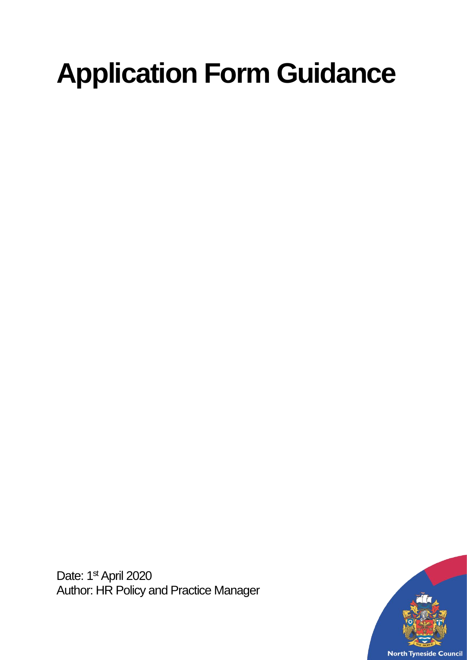# **Application Form Guidance**

Date: 1<sup>st</sup> April 2020 Author: HR Policy and Practice Manager

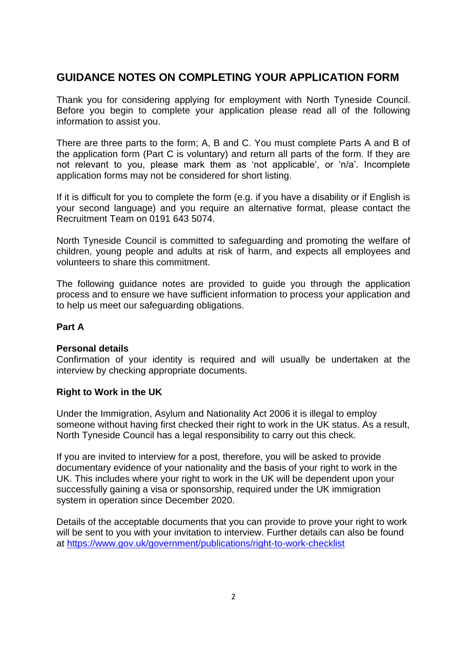## **GUIDANCE NOTES ON COMPLETING YOUR APPLICATION FORM**

Thank you for considering applying for employment with North Tyneside Council. Before you begin to complete your application please read all of the following information to assist you.

There are three parts to the form; A, B and C. You must complete Parts A and B of the application form (Part C is voluntary) and return all parts of the form. If they are not relevant to you, please mark them as 'not applicable', or 'n/a'. Incomplete application forms may not be considered for short listing.

If it is difficult for you to complete the form (e.g. if you have a disability or if English is your second language) and you require an alternative format, please contact the Recruitment Team on 0191 643 5074.

North Tyneside Council is committed to safeguarding and promoting the welfare of children, young people and adults at risk of harm, and expects all employees and volunteers to share this commitment.

The following guidance notes are provided to guide you through the application process and to ensure we have sufficient information to process your application and to help us meet our safeguarding obligations.

## **Part A**

## **Personal details**

Confirmation of your identity is required and will usually be undertaken at the interview by checking appropriate documents.

#### **Right to Work in the UK**

Under the Immigration, Asylum and Nationality Act 2006 it is illegal to employ someone without having first checked their right to work in the UK status. As a result, North Tyneside Council has a legal responsibility to carry out this check.

If you are invited to interview for a post, therefore, you will be asked to provide documentary evidence of your nationality and the basis of your right to work in the UK. This includes where your right to work in the UK will be dependent upon your successfully gaining a visa or sponsorship, required under the UK immigration system in operation since December 2020.

Details of the acceptable documents that you can provide to prove your right to work will be sent to you with your invitation to interview. Further details can also be found at<https://www.gov.uk/government/publications/right-to-work-checklist>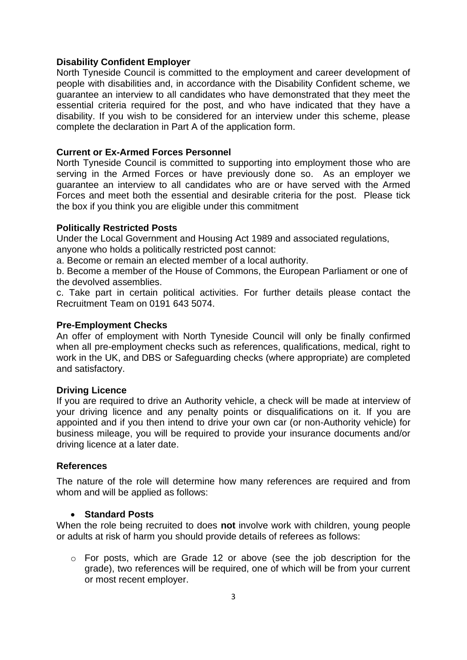#### **Disability Confident Employer**

North Tyneside Council is committed to the employment and career development of people with disabilities and, in accordance with the Disability Confident scheme, we guarantee an interview to all candidates who have demonstrated that they meet the essential criteria required for the post, and who have indicated that they have a disability. If you wish to be considered for an interview under this scheme, please complete the declaration in Part A of the application form.

#### **Current or Ex-Armed Forces Personnel**

North Tyneside Council is committed to supporting into employment those who are serving in the Armed Forces or have previously done so. As an employer we guarantee an interview to all candidates who are or have served with the Armed Forces and meet both the essential and desirable criteria for the post. Please tick the box if you think you are eligible under this commitment

#### **Politically Restricted Posts**

Under the Local Government and Housing Act 1989 and associated regulations, anyone who holds a politically restricted post cannot:

a. Become or remain an elected member of a local authority.

b. Become a member of the House of Commons, the European Parliament or one of the devolved assemblies.

c. Take part in certain political activities. For further details please contact the Recruitment Team on 0191 643 5074.

#### **Pre-Employment Checks**

An offer of employment with North Tyneside Council will only be finally confirmed when all pre-employment checks such as references, qualifications, medical, right to work in the UK, and DBS or Safeguarding checks (where appropriate) are completed and satisfactory.

#### **Driving Licence**

If you are required to drive an Authority vehicle, a check will be made at interview of your driving licence and any penalty points or disqualifications on it. If you are appointed and if you then intend to drive your own car (or non-Authority vehicle) for business mileage, you will be required to provide your insurance documents and/or driving licence at a later date.

#### **References**

The nature of the role will determine how many references are required and from whom and will be applied as follows:

## • **Standard Posts**

When the role being recruited to does **not** involve work with children, young people or adults at risk of harm you should provide details of referees as follows:

 $\circ$  For posts, which are Grade 12 or above (see the job description for the grade), two references will be required, one of which will be from your current or most recent employer.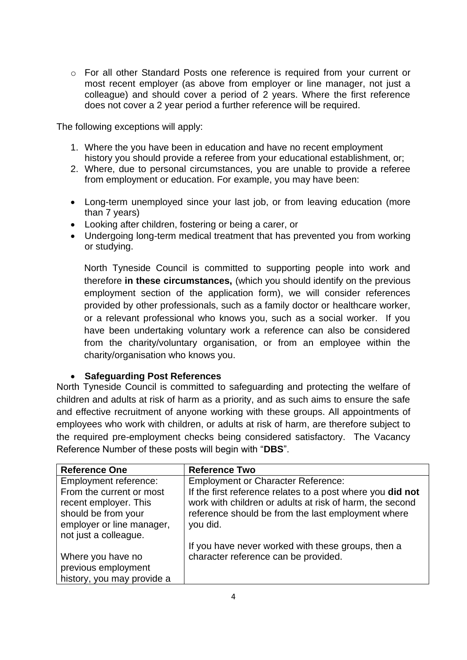o For all other Standard Posts one reference is required from your current or most recent employer (as above from employer or line manager, not just a colleague) and should cover a period of 2 years. Where the first reference does not cover a 2 year period a further reference will be required.

The following exceptions will apply:

- 1. Where the you have been in education and have no recent employment history you should provide a referee from your educational establishment, or;
- 2. Where, due to personal circumstances, you are unable to provide a referee from employment or education. For example, you may have been:
- Long-term unemployed since your last job, or from leaving education (more than 7 years)
- Looking after children, fostering or being a carer, or
- Undergoing long-term medical treatment that has prevented you from working or studying.

North Tyneside Council is committed to supporting people into work and therefore **in these circumstances,** (which you should identify on the previous employment section of the application form), we will consider references provided by other professionals, such as a family doctor or healthcare worker, or a relevant professional who knows you, such as a social worker. If you have been undertaking voluntary work a reference can also be considered from the charity/voluntary organisation, or from an employee within the charity/organisation who knows you.

## • **Safeguarding Post References**

North Tyneside Council is committed to safeguarding and protecting the welfare of children and adults at risk of harm as a priority, and as such aims to ensure the safe and effective recruitment of anyone working with these groups. All appointments of employees who work with children, or adults at risk of harm, are therefore subject to the required pre-employment checks being considered satisfactory. The Vacancy Reference Number of these posts will begin with "**DBS**".

| <b>Reference One</b>       | <b>Reference Two</b>                                       |
|----------------------------|------------------------------------------------------------|
| Employment reference:      | <b>Employment or Character Reference:</b>                  |
| From the current or most   | If the first reference relates to a post where you did not |
| recent employer. This      | work with children or adults at risk of harm, the second   |
| should be from your        | reference should be from the last employment where         |
| employer or line manager,  | you did.                                                   |
| not just a colleague.      |                                                            |
|                            | If you have never worked with these groups, then a         |
| Where you have no          | character reference can be provided.                       |
| previous employment        |                                                            |
| history, you may provide a |                                                            |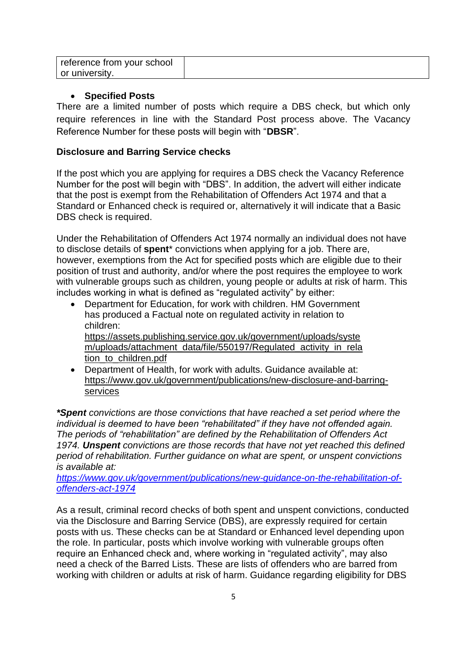| l reference from your school |  |
|------------------------------|--|
| or university.               |  |

## • **Specified Posts**

There are a limited number of posts which require a DBS check, but which only require references in line with the Standard Post process above. The Vacancy Reference Number for these posts will begin with "**DBSR**".

## **Disclosure and Barring Service checks**

If the post which you are applying for requires a DBS check the Vacancy Reference Number for the post will begin with "DBS". In addition, the advert will either indicate that the post is exempt from the Rehabilitation of Offenders Act 1974 and that a Standard or Enhanced check is required or, alternatively it will indicate that a Basic DBS check is required.

Under the Rehabilitation of Offenders Act 1974 normally an individual does not have to disclose details of **spent**\* convictions when applying for a job. There are, however, exemptions from the Act for specified posts which are eligible due to their position of trust and authority, and/or where the post requires the employee to work with vulnerable groups such as children, young people or adults at risk of harm. This includes working in what is defined as "regulated activity" by either:

- Department for Education, for work with children. HM Government has produced a Factual note on regulated activity in relation to children: [https://assets.publishing.service.gov.uk/government/uploads/syste](https://assets.publishing.service.gov.uk/government/uploads/system/uploads/attachment_data/file/550197/Regulated_activity_in_relation_to_children.pdf) [m/uploads/attachment\\_data/file/550197/Regulated\\_activity\\_in\\_rela](https://assets.publishing.service.gov.uk/government/uploads/system/uploads/attachment_data/file/550197/Regulated_activity_in_relation_to_children.pdf) [tion\\_to\\_children.pdf](https://assets.publishing.service.gov.uk/government/uploads/system/uploads/attachment_data/file/550197/Regulated_activity_in_relation_to_children.pdf)
- Department of Health, for work with adults, Guidance available at: [https://www.gov.uk/government/publications/new-disclosure-and-barring](https://www.gov.uk/government/publications/new-disclosure-and-barring-services)[services](https://www.gov.uk/government/publications/new-disclosure-and-barring-services)

*\*Spent convictions are those convictions that have reached a set period where the individual is deemed to have been "rehabilitated" if they have not offended again. The periods of "rehabilitation" are defined by the Rehabilitation of Offenders Act 1974. Unspent convictions are those records that have not yet reached this defined period of rehabilitation. Further guidance on what are spent, or unspent convictions is available at:*

*[https://www.gov.uk/government/publications/new-guidance-on-the-rehabilitation-of](https://www.gov.uk/government/publications/new-guidance-on-the-rehabilitation-of-offenders-act-1974)[offenders-act-1974](https://www.gov.uk/government/publications/new-guidance-on-the-rehabilitation-of-offenders-act-1974)*

As a result, criminal record checks of both spent and unspent convictions, conducted via the Disclosure and Barring Service (DBS), are expressly required for certain posts with us. These checks can be at Standard or Enhanced level depending upon the role. In particular, posts which involve working with vulnerable groups often require an Enhanced check and, where working in "regulated activity", may also need a check of the Barred Lists. These are lists of offenders who are barred from working with children or adults at risk of harm. Guidance regarding eligibility for DBS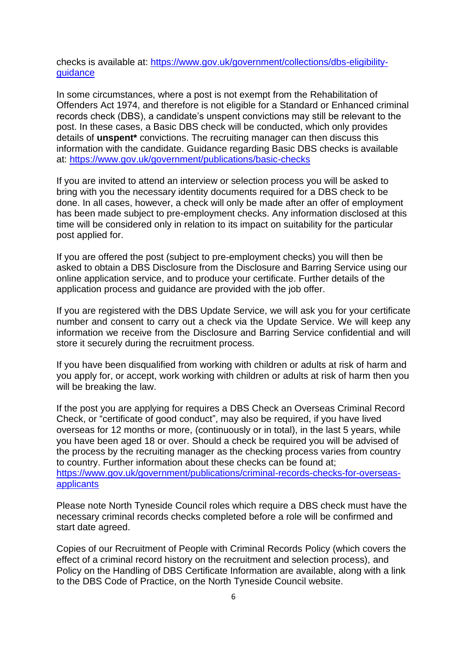checks is available at: [https://www.gov.uk/government/collections/dbs-eligibility](https://www.gov.uk/government/collections/dbs-eligibility-guidance)[guidance](https://www.gov.uk/government/collections/dbs-eligibility-guidance)

In some circumstances, where a post is not exempt from the Rehabilitation of Offenders Act 1974, and therefore is not eligible for a Standard or Enhanced criminal records check (DBS), a candidate's unspent convictions may still be relevant to the post. In these cases, a Basic DBS check will be conducted, which only provides details of **unspent\*** convictions. The recruiting manager can then discuss this information with the candidate. Guidance regarding Basic DBS checks is available at:<https://www.gov.uk/government/publications/basic-checks>

If you are invited to attend an interview or selection process you will be asked to bring with you the necessary identity documents required for a DBS check to be done. In all cases, however, a check will only be made after an offer of employment has been made subject to pre-employment checks. Any information disclosed at this time will be considered only in relation to its impact on suitability for the particular post applied for.

If you are offered the post (subject to pre-employment checks) you will then be asked to obtain a DBS Disclosure from the Disclosure and Barring Service using our online application service, and to produce your certificate. Further details of the application process and guidance are provided with the job offer.

If you are registered with the DBS Update Service, we will ask you for your certificate number and consent to carry out a check via the Update Service. We will keep any information we receive from the Disclosure and Barring Service confidential and will store it securely during the recruitment process.

If you have been disqualified from working with children or adults at risk of harm and you apply for, or accept, work working with children or adults at risk of harm then you will be breaking the law.

If the post you are applying for requires a DBS Check an Overseas Criminal Record Check, or "certificate of good conduct", may also be required, if you have lived overseas for 12 months or more, (continuously or in total), in the last 5 years, while you have been aged 18 or over. Should a check be required you will be advised of the process by the recruiting manager as the checking process varies from country to country. Further information about these checks can be found at; [https://www.gov.uk/government/publications/criminal-records-checks-for-overseas](https://www.gov.uk/government/publications/criminal-records-checks-for-overseas-applicants)[applicants](https://www.gov.uk/government/publications/criminal-records-checks-for-overseas-applicants)

Please note North Tyneside Council roles which require a DBS check must have the necessary criminal records checks completed before a role will be confirmed and start date agreed.

Copies of our Recruitment of People with Criminal Records Policy (which covers the effect of a criminal record history on the recruitment and selection process), and Policy on the Handling of DBS Certificate Information are available, along with a link to the DBS Code of Practice, on the North Tyneside Council website.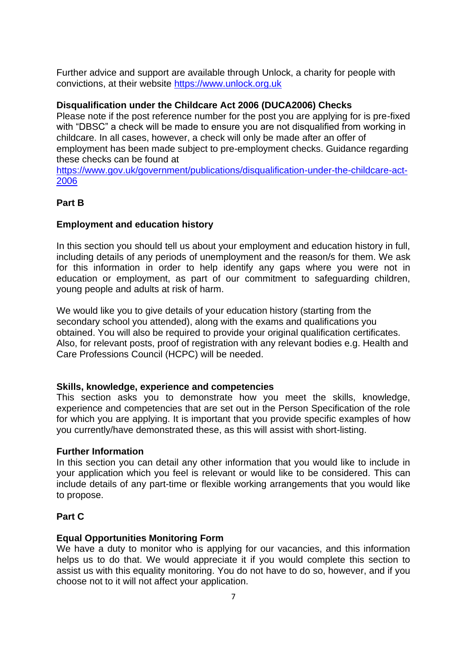Further advice and support are available through Unlock, a charity for people with convictions, at their website [https://www.unlock.org.uk](https://www.unlock.org.uk/)

## **Disqualification under the Childcare Act 2006 (DUCA2006) Checks**

Please note if the post reference number for the post you are applying for is pre-fixed with "DBSC" a check will be made to ensure you are not disqualified from working in childcare. In all cases, however, a check will only be made after an offer of employment has been made subject to pre-employment checks. Guidance regarding these checks can be found at

[https://www.gov.uk/government/publications/disqualification-under-the-childcare-act-](https://www.gov.uk/government/publications/disqualification-under-the-childcare-act-2006)[2006](https://www.gov.uk/government/publications/disqualification-under-the-childcare-act-2006)

## **Part B**

## **Employment and education history**

In this section you should tell us about your employment and education history in full, including details of any periods of unemployment and the reason/s for them. We ask for this information in order to help identify any gaps where you were not in education or employment, as part of our commitment to safeguarding children, young people and adults at risk of harm.

We would like you to give details of your education history (starting from the secondary school you attended), along with the exams and qualifications you obtained. You will also be required to provide your original qualification certificates. Also, for relevant posts, proof of registration with any relevant bodies e.g. Health and Care Professions Council (HCPC) will be needed.

#### **Skills, knowledge, experience and competencies**

This section asks you to demonstrate how you meet the skills, knowledge, experience and competencies that are set out in the Person Specification of the role for which you are applying. It is important that you provide specific examples of how you currently/have demonstrated these, as this will assist with short-listing.

#### **Further Information**

In this section you can detail any other information that you would like to include in your application which you feel is relevant or would like to be considered. This can include details of any part-time or flexible working arrangements that you would like to propose.

## **Part C**

## **Equal Opportunities Monitoring Form**

We have a duty to monitor who is applying for our vacancies, and this information helps us to do that. We would appreciate it if you would complete this section to assist us with this equality monitoring. You do not have to do so, however, and if you choose not to it will not affect your application.